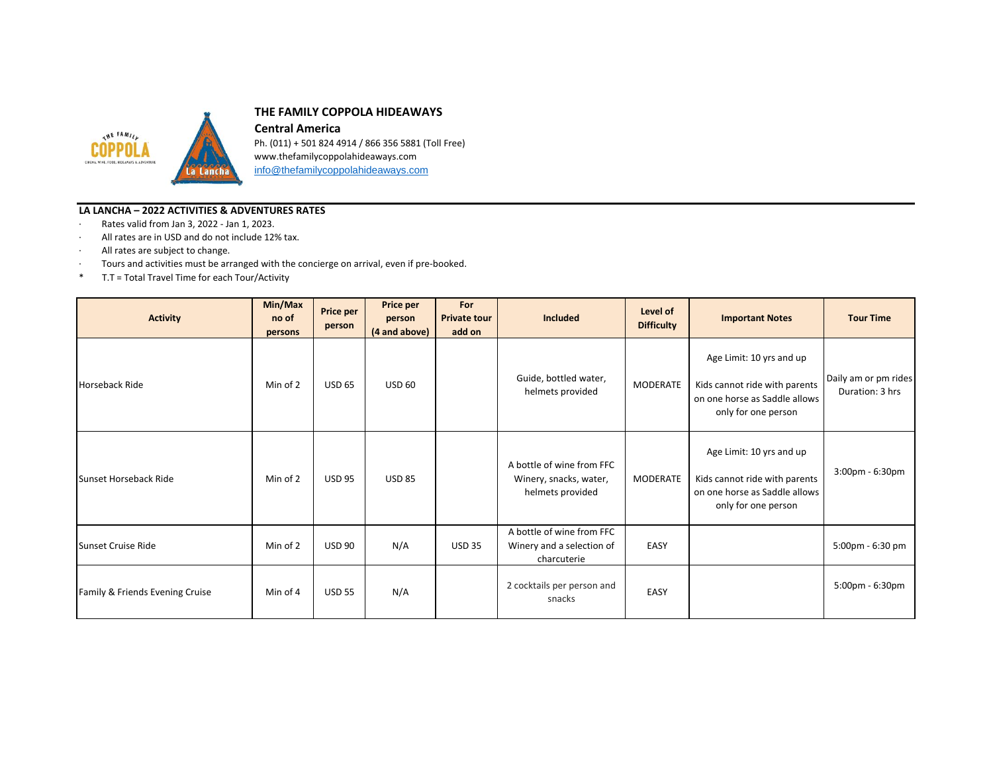

## **THE FAMILY COPPOLA HIDEAWAYS**

**Central America** Ph. (011) + 501 824 4914 / 866 356 5881 (Toll Free) www.thefamilycoppolahideaways.com [info@thefamilycoppolahideaways.com](mailto:info@thefamilycoppolahideaways.com)

## **LA LANCHA – 2022 ACTIVITIES & ADVENTURES RATES**

- · Rates valid from Jan 3, 2022 Jan 1, 2023.
- · All rates are in USD and do not include 12% tax.
- · All rates are subject to change.
- · Tours and activities must be arranged with the concierge on arrival, even if pre-booked.
- \* T.T = Total Travel Time for each Tour/Activity

| <b>Activity</b>                 | Min/Max<br>no of<br>persons | Price per<br>person | Price per<br>person<br>(4 and above) | For<br><b>Private tour</b><br>add on | Included                                                                | Level of<br><b>Difficulty</b> | <b>Important Notes</b>                                                                                            | <b>Tour Time</b>                        |
|---------------------------------|-----------------------------|---------------------|--------------------------------------|--------------------------------------|-------------------------------------------------------------------------|-------------------------------|-------------------------------------------------------------------------------------------------------------------|-----------------------------------------|
| Horseback Ride                  | Min of 2                    | <b>USD 65</b>       | <b>USD 60</b>                        |                                      | Guide, bottled water,<br>helmets provided                               | <b>MODERATE</b>               | Age Limit: 10 yrs and up<br>Kids cannot ride with parents<br>on one horse as Saddle allows<br>only for one person | Daily am or pm rides<br>Duration: 3 hrs |
| <b>Sunset Horseback Ride</b>    | Min of 2                    | <b>USD 95</b>       | <b>USD 85</b>                        |                                      | A bottle of wine from FFC<br>Winery, snacks, water,<br>helmets provided | <b>MODERATE</b>               | Age Limit: 10 yrs and up<br>Kids cannot ride with parents<br>on one horse as Saddle allows<br>only for one person | 3:00pm - 6:30pm                         |
| Sunset Cruise Ride              | Min of 2                    | <b>USD 90</b>       | N/A                                  | <b>USD 35</b>                        | A bottle of wine from FFC<br>Winery and a selection of<br>charcuterie   | EASY                          |                                                                                                                   | 5:00pm - 6:30 pm                        |
| Family & Friends Evening Cruise | Min of 4                    | <b>USD 55</b>       | N/A                                  |                                      | 2 cocktails per person and<br>snacks                                    | EASY                          |                                                                                                                   | 5:00pm - 6:30pm                         |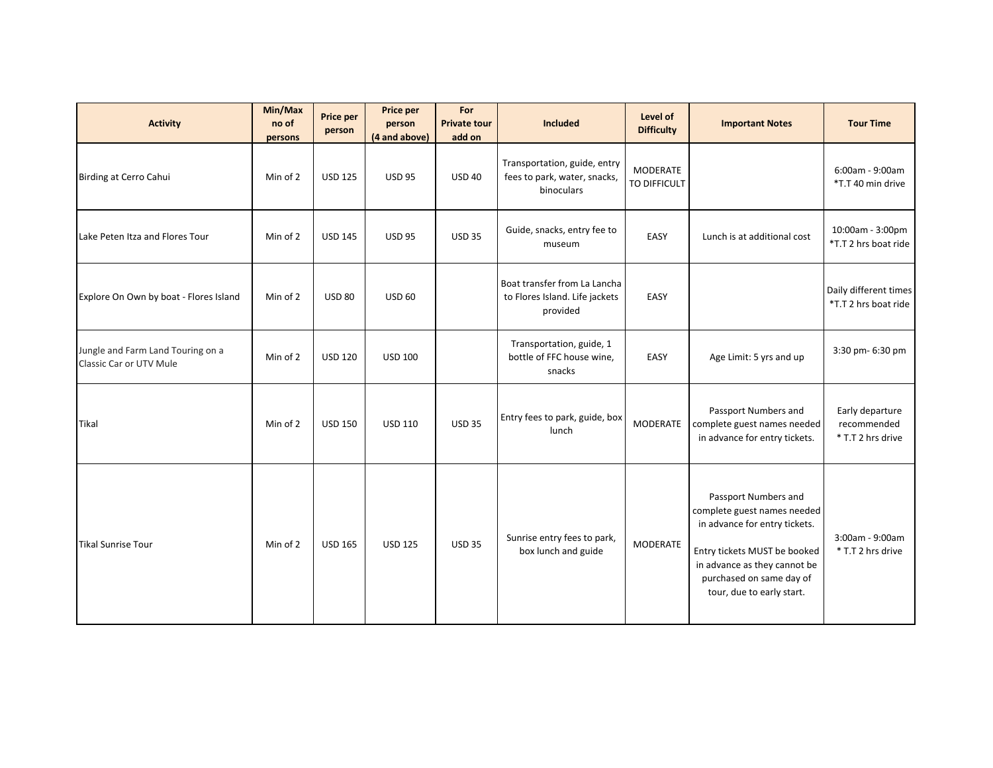| <b>Activity</b>                                              | Min/Max<br>no of<br>persons | Price per<br>person | <b>Price per</b><br>person<br>(4 and above) | For<br><b>Private tour</b><br>add on | <b>Included</b>                                                            | Level of<br><b>Difficulty</b> | <b>Important Notes</b>                                                                                                                                                                                        | <b>Tour Time</b>                                    |
|--------------------------------------------------------------|-----------------------------|---------------------|---------------------------------------------|--------------------------------------|----------------------------------------------------------------------------|-------------------------------|---------------------------------------------------------------------------------------------------------------------------------------------------------------------------------------------------------------|-----------------------------------------------------|
| Birding at Cerro Cahui                                       | Min of 2                    | <b>USD 125</b>      | <b>USD 95</b>                               | <b>USD 40</b>                        | Transportation, guide, entry<br>fees to park, water, snacks,<br>binoculars | MODERATE<br>TO DIFFICULT      |                                                                                                                                                                                                               | 6:00am - 9:00am<br>*T.T 40 min drive                |
| Lake Peten Itza and Flores Tour                              | Min of 2                    | <b>USD 145</b>      | <b>USD 95</b>                               | <b>USD 35</b>                        | Guide, snacks, entry fee to<br>museum                                      | EASY                          | Lunch is at additional cost                                                                                                                                                                                   | 10:00am - 3:00pm<br>*T.T 2 hrs boat ride            |
| Explore On Own by boat - Flores Island                       | Min of 2                    | <b>USD 80</b>       | <b>USD 60</b>                               |                                      | Boat transfer from La Lancha<br>to Flores Island. Life jackets<br>provided | EASY                          |                                                                                                                                                                                                               | Daily different times<br>*T.T 2 hrs boat ride       |
| Jungle and Farm Land Touring on a<br>Classic Car or UTV Mule | Min of 2                    | <b>USD 120</b>      | <b>USD 100</b>                              |                                      | Transportation, guide, 1<br>bottle of FFC house wine,<br>snacks            | EASY                          | Age Limit: 5 yrs and up                                                                                                                                                                                       | 3:30 pm- 6:30 pm                                    |
| Tikal                                                        | Min of 2                    | <b>USD 150</b>      | <b>USD 110</b>                              | <b>USD 35</b>                        | Entry fees to park, guide, box<br>lunch                                    | MODERATE                      | Passport Numbers and<br>complete guest names needed<br>in advance for entry tickets.                                                                                                                          | Early departure<br>recommended<br>* T.T 2 hrs drive |
| Tikal Sunrise Tour                                           | Min of 2                    | <b>USD 165</b>      | <b>USD 125</b>                              | <b>USD 35</b>                        | Sunrise entry fees to park,<br>box lunch and guide                         | <b>MODERATE</b>               | Passport Numbers and<br>complete guest names needed<br>in advance for entry tickets.<br>Entry tickets MUST be booked<br>in advance as they cannot be<br>purchased on same day of<br>tour, due to early start. | 3:00am - 9:00am<br>* T.T 2 hrs drive                |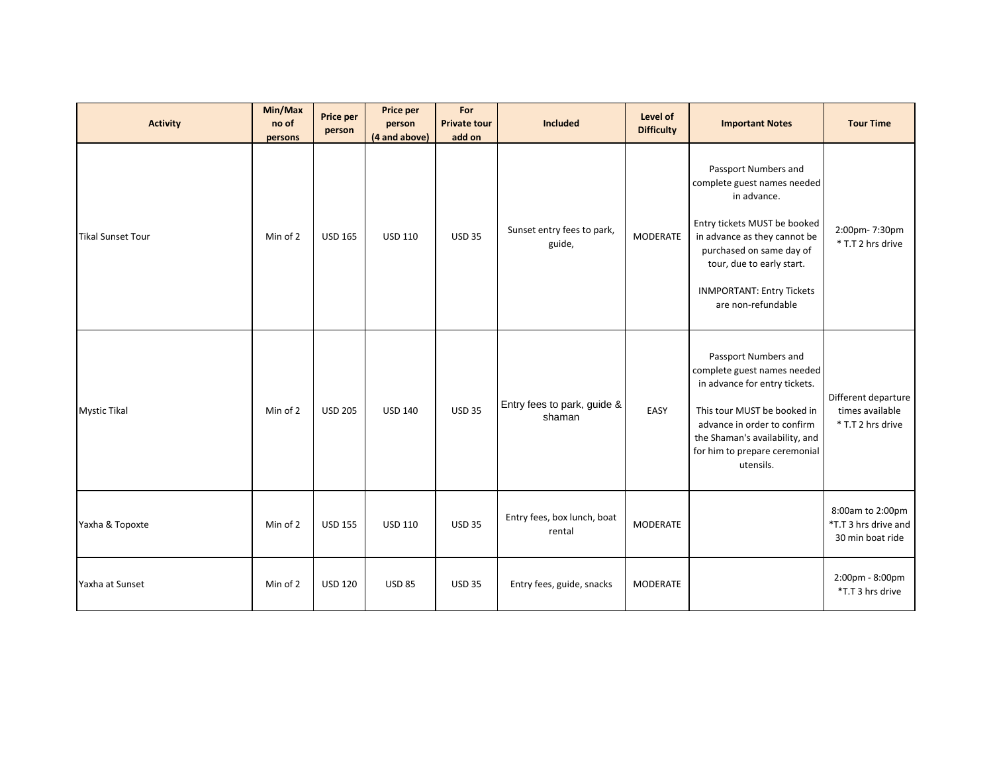| <b>Activity</b>          | Min/Max<br>no of<br>persons | <b>Price per</b><br>person | Price per<br>person<br>(4 and above) | For<br><b>Private tour</b><br>add on | Included                              | Level of<br><b>Difficulty</b> | <b>Important Notes</b>                                                                                                                                                                                                                                | <b>Tour Time</b>                                             |
|--------------------------|-----------------------------|----------------------------|--------------------------------------|--------------------------------------|---------------------------------------|-------------------------------|-------------------------------------------------------------------------------------------------------------------------------------------------------------------------------------------------------------------------------------------------------|--------------------------------------------------------------|
| <b>Tikal Sunset Tour</b> | Min of 2                    | <b>USD 165</b>             | <b>USD 110</b>                       | <b>USD 35</b>                        | Sunset entry fees to park,<br>guide,  | MODERATE                      | Passport Numbers and<br>complete guest names needed<br>in advance.<br>Entry tickets MUST be booked<br>in advance as they cannot be<br>purchased on same day of<br>tour, due to early start.<br><b>INMPORTANT: Entry Tickets</b><br>are non-refundable | 2:00pm-7:30pm<br>* T.T 2 hrs drive                           |
| <b>Mystic Tikal</b>      | Min of 2                    | <b>USD 205</b>             | <b>USD 140</b>                       | <b>USD 35</b>                        | Entry fees to park, guide &<br>shaman | EASY                          | Passport Numbers and<br>complete guest names needed<br>in advance for entry tickets.<br>This tour MUST be booked in<br>advance in order to confirm<br>the Shaman's availability, and<br>for him to prepare ceremonial<br>utensils.                    | Different departure<br>times available<br>* T.T 2 hrs drive  |
| Yaxha & Topoxte          | Min of 2                    | <b>USD 155</b>             | <b>USD 110</b>                       | <b>USD 35</b>                        | Entry fees, box lunch, boat<br>rental | <b>MODERATE</b>               |                                                                                                                                                                                                                                                       | 8:00am to 2:00pm<br>*T.T 3 hrs drive and<br>30 min boat ride |
| Yaxha at Sunset          | Min of 2                    | <b>USD 120</b>             | <b>USD 85</b>                        | <b>USD 35</b>                        | Entry fees, guide, snacks             | MODERATE                      |                                                                                                                                                                                                                                                       | 2:00pm - 8:00pm<br>*T.T 3 hrs drive                          |